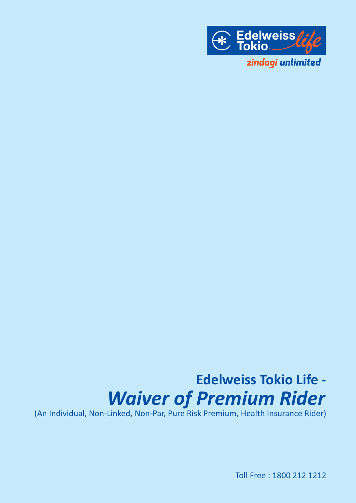

# **Edelweiss Tokio Life -** *Waiver of Premium Rider*

(An Individual, Non-Linked, Non-Par, Pure Risk Premium, Health Insurance Rider)

Toll Free : 1800 212 1212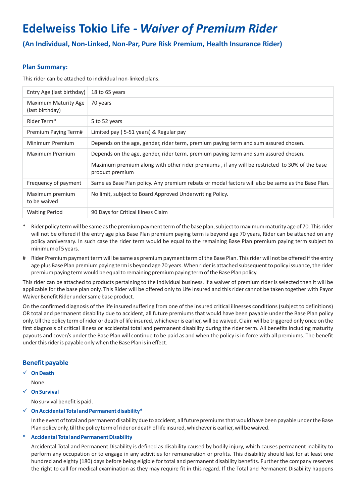# **Edelweiss Tokio Life -** *Waiver of Premium Rider*

**(An Individual, Non-Linked, Non-Par, Pure Risk Premium, Health Insurance Rider)**

# **Plan Summary:**

This rider can be attached to individual non-linked plans.

| Entry Age (last birthday)               | 18 to 65 years                                                                                                   |
|-----------------------------------------|------------------------------------------------------------------------------------------------------------------|
| Maximum Maturity Age<br>(last birthday) | 70 years                                                                                                         |
| Rider Term*                             | 5 to 52 years                                                                                                    |
| Premium Paying Term#                    | Limited pay (5-51 years) & Regular pay                                                                           |
| Minimum Premium                         | Depends on the age, gender, rider term, premium paying term and sum assured chosen.                              |
| Maximum Premium                         | Depends on the age, gender, rider term, premium paying term and sum assured chosen.                              |
|                                         | Maximum premium along with other rider premiums, if any will be restricted to 30% of the base<br>product premium |
| Frequency of payment                    | Same as Base Plan policy. Any premium rebate or modal factors will also be same as the Base Plan.                |
| Maximum premium<br>to be waived         | No limit, subject to Board Approved Underwriting Policy.                                                         |
| <b>Waiting Period</b>                   | 90 Days for Critical Illness Claim                                                                               |

- Rider policy term will be same as the premium payment term of the base plan, subject to maximum maturity age of 70. This rider will not be offered if the entry age plus Base Plan premium paying term is beyond age 70 years, Rider can be attached on any policy anniversary. In such case the rider term would be equal to the remaining Base Plan premium paying term subject to minimum of 5 years.
- # Rider Premium payment term will be same as premium payment term of the Base Plan. This rider will not be offered if the entry age plus Base Plan premium paying term is beyond age 70 years. When rider is attached subsequent to policy issuance, the rider premium paying term would be equal to remaining premium paying term of the Base Plan policy.

This rider can be attached to products pertaining to the individual business. If a waiver of premium rider is selected then it will be applicable for the base plan only. This Rider will be offered only to Life Insured and this rider cannot be taken together with Payor Waiver Benefit Rider under same base product.

On the confirmed diagnosis of the life insured suffering from one of the insured critical illnesses conditions (subject to definitions) OR total and permanent disability due to accident, all future premiums that would have been payable under the Base Plan policy only, till the policy term of rider or death of life insured, whichever is earlier, will be waived. Claim will be triggered only once on the first diagnosis of critical illness or accidental total and permanent disability during the rider term. All benefits including maturity payouts and cover/s under the Base Plan will continue to be paid as and when the policy is in force with all premiums. The benefit under this rider is payable only when the Base Plan is in effect.

# **Benefit payable**

ü **On Death**

None.

ü **On Survival**

No survival benefit is paid.

#### ü **On Accidental Total and Permanent disability\***

In the event of total and permanent disability due to accident, all future premiums that would have been payable under the Base Plan policy only, till the policy term of rider or death of life insured, whichever is earlier, will be waived.

#### **\* Accidental Total and Permanent Disability**

Accidental Total and Permanent Disability is defined as disability caused by bodily injury, which causes permanent inability to perform any occupation or to engage in any activities for remuneration or profits. This disability should last for at least one hundred and eighty (180) days before being eligible for total and permanent disability benefits. Further the company reserves the right to call for medical examination as they may require fit in this regard. If the Total and Permanent Disability happens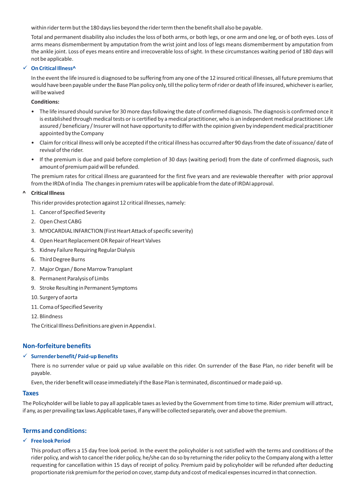within rider term but the 180 days lies beyond the rider term then the benefit shall also be payable.

Total and permanent disability also includes the loss of both arms, or both legs, or one arm and one leg, or of both eyes. Loss of arms means dismemberment by amputation from the wrist joint and loss of legs means dismemberment by amputation from the ankle joint. Loss of eyes means entire and irrecoverable loss of sight. In these circumstances waiting period of 180 days will not be applicable.

#### **On Critical Illness<sup>^</sup>**

In the event the life insured is diagnosed to be suffering from any one of the 12 insured critical illnesses, all future premiums that would have been payable under the Base Plan policy only, till the policy term of rider or death of life insured, whichever is earlier, will be waived

#### **Conditions:**

- The life insured should survive for 30 more days following the date of confirmed diagnosis. The diagnosis is confirmed once it is established through medical tests or is certified by a medical practitioner, who is an independent medical practitioner. Life assured / beneficiary / Insurer will not have opportunity to differ with the opinion given by independent medical practitioner appointed by the Company
- Claim for critical illness will only be accepted if the critical illness has occurred after 90 days from the date of issuance/ date of revival of the rider.
- If the premium is due and paid before completion of 30 days (waiting period) from the date of confirmed diagnosis, such amount of premium paid will be refunded.

The premium rates for critical illness are guaranteed for the first five years and are reviewable thereafter with prior approval from the IRDA of India The changes in premium rates will be applicable from the date of IRDAI approval.

#### **^ Critical Illness**

This rider provides protection against 12 critical illnesses, namely:

- 1. Cancer of Specified Severity
- 2. Open Chest CABG
- 3. MYOCARDIAL INFARCTION (First Heart Attack of specific severity)
- 4. Open Heart Replacement OR Repair of Heart Valves
- 5. Kidney Failure Requiring Regular Dialysis
- 6. Third Degree Burns
- 7. Major Organ / Bone Marrow Transplant
- 8. Permanent Paralysis of Limbs
- 9. Stroke Resulting in Permanent Symptoms
- 10. Surgery of aorta
- 11. Coma of Specified Severity
- 12. Blindness

The Critical Illness Definitions are given in Appendix I.

# **Non-forfeiture benefits**

#### ü **Surrender benefit/ Paid-up Benefits**

There is no surrender value or paid up value available on this rider. On surrender of the Base Plan, no rider benefit will be payable.

Even, the rider benefit will cease immediately if the Base Plan is terminated, discontinued or made paid-up.

#### **Taxes**

The Policyholder will be liable to pay all applicable taxes as levied by the Government from time to time. Rider premium will attract, if any, as per prevailing tax laws.Applicable taxes, if any will be collected separately, over and above the premium.

#### **Terms and conditions:**

#### ü **Free look Period**

This product offers a 15 day free look period. In the event the policyholder is not satisfied with the terms and conditions of the rider policy, and wish to cancel the rider policy, he/she can do so by returning the rider policy to the Company along with a letter requesting for cancellation within 15 days of receipt of policy. Premium paid by policyholder will be refunded after deducting proportionate risk premium for the period on cover, stamp duty and cost of medical expenses incurred in that connection.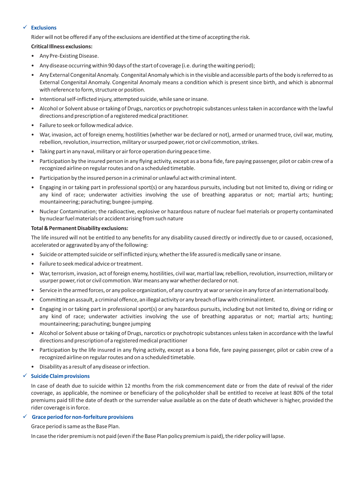#### ü **Exclusions**

Rider will not be offered if any of the exclusions are identified at the time of accepting the risk.

#### **Critical Illness exclusions:**

- Any Pre-Existing Disease.
- Any disease occurring within 90 days of the start of coverage (i.e. during the waiting period);
- Any External Congenital Anomaly. Congenital Anomaly which is in the visible and accessible parts of the body is referred to as External Congenital Anomaly. Congenital Anomaly means a condition which is present since birth, and which is abnormal with reference to form, structure or position.
- Intentional self-inflicted injury, attempted suicide, while sane or insane.
- Alcohol or Solvent abuse or taking of Drugs, narcotics or psychotropic substances unless taken in accordance with the lawful directions and prescription of a registered medical practitioner.
- Failure to seek or follow medical advice.
- War, invasion, act of foreign enemy, hostilities (whether war be declared or not), armed or unarmed truce, civil war, mutiny, rebellion, revolution, insurrection, military or usurped power, riot or civil commotion, strikes.
- Taking part in any naval, military or air force operation during peace time.
- Participation by the insured person in any flying activity, except as a bona fide, fare paying passenger, pilot or cabin crew of a recognized airline on regular routes and on a scheduled timetable.
- Participation by the insured person in a criminal or unlawful act with criminal intent.
- Engaging in or taking part in professional sport(s) or any hazardous pursuits, including but not limited to, diving or riding or any kind of race; underwater activities involving the use of breathing apparatus or not; martial arts; hunting; mountaineering; parachuting; bungee-jumping.
- Nuclear Contamination; the radioactive, explosive or hazardous nature of nuclear fuel materials or property contaminated by nuclear fuel materials or accident arising from such nature

#### **Total & Permanent Disability exclusions:**

The life insured will not be entitled to any benefits for any disability caused directly or indirectly due to or caused, occasioned, accelerated or aggravated by any of the following:

- Suicide or attempted suicide or self inflicted injury, whether the life assured is medically sane or insane.
- Failure to seek medical advice or treatment.
- War, terrorism, invasion, act of foreign enemy, hostilities, civil war, martial law, rebellion, revolution, insurrection, military or usurper power, riot or civil commotion. War means any war whether declared or not.
- Service in the armed forces, or any police organization, of any country at war or service in any force of an international body.
- Committing an assault, a criminal offence, an illegal activity or any breach of law with criminal intent.
- Engaging in or taking part in professional sport(s) or any hazardous pursuits, including but not limited to, diving or riding or any kind of race; underwater activities involving the use of breathing apparatus or not; martial arts; hunting; mountaineering; parachuting; bungee jumping
- Alcohol or Solvent abuse or taking of Drugs, narcotics or psychotropic substances unless taken in accordance with the lawful directions and prescription of a registered medical practitioner
- Participation by the life insured in any flying activity, except as a bona fide, fare paying passenger, pilot or cabin crew of a recognized airline on regular routes and on a scheduled timetable.
- Disability as a result of any disease or infection.

# ü **Suicide Claim provisions**

In case of death due to suicide within 12 months from the risk commencement date or from the date of revival of the rider coverage, as applicable, the nominee or beneficiary of the policyholder shall be entitled to receive at least 80% of the total premiums paid till the date of death or the surrender value available as on the date of death whichever is higher, provided the rider coverage is in force.

# ü **Grace period for non-forfeiture provisions**

Grace period is same as the Base Plan.

In case the rider premium is not paid (even if the Base Plan policy premium is paid), the rider policy will lapse.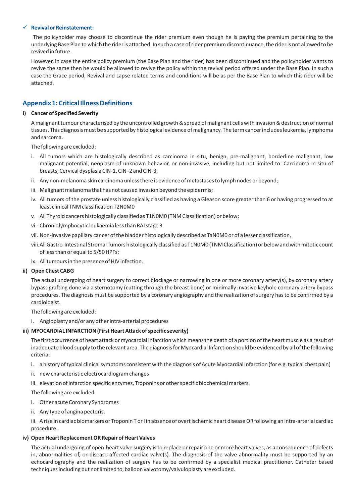#### ü **Revival or Reinstatement:**

The policyholder may choose to discontinue the rider premium even though he is paying the premium pertaining to the underlying Base Plan to which the rider is attached. In such a case of rider premium discontinuance, the rider is not allowed to be revived in future.

However, in case the entire policy premium (the Base Plan and the rider) has been discontinued and the policyholder wants to revive the same then he would be allowed to revive the policy within the revival period offered under the Base Plan. In such a case the Grace period, Revival and Lapse related terms and conditions will be as per the Base Plan to which this rider will be attached.

# **Appendix 1: Critical Illness Definitions**

#### **i) Cancer of Specified Severity**

A malignant tumour characterised by the uncontrolled growth & spread of malignant cells with invasion & destruction of normal tissues. This diagnosis must be supported by histological evidence of malignancy. The term cancer includes leukemia, lymphoma and sarcoma.

The following are excluded:

- i. All tumors which are histologically described as carcinoma in situ, benign, pre-malignant, borderline malignant, low malignant potential, neoplasm of unknown behavior, or non-invasive, including but not limited to: Carcinoma in situ of breasts, Cervical dysplasia CIN-1, CIN -2 and CIN-3.
- ii. Any non-melanoma skin carcinoma unless there is evidence of metastases to lymph nodes or beyond;
- iii. Malignant melanoma that has not caused invasion beyond the epidermis;
- iv. All tumors of the prostate unless histologically classified as having a Gleason score greater than 6 or having progressed to at least clinical TNM classification T2N0M0
- v. All Thyroid cancers histologically classified as T1N0M0 (TNM Classification) or below;
- vi. Chronic lymphocytic leukaemia less than RAI stage 3
- vii. Non-invasive papillary cancer of the bladder histologically described as TaN0M0 or of a lesser classification,
- viii. All Gastro-Intestinal Stromal Tumors histologically classified as T1N0M0 (TNM Classification) or below and with mitotic count of less than or equal to 5/50 HPFs;
- ix. All tumours in the presence of HIV infection.

#### **ii) Open Chest CABG**

The actual undergoing of heart surgery to correct blockage or narrowing in one or more coronary artery(s), by coronary artery bypass grafting done via a sternotomy (cutting through the breast bone) or minimally invasive keyhole coronary artery bypass procedures. The diagnosis must be supported by a coronary angiography and the realization of surgery has to be confirmed by a cardiologist.

The following are excluded:

i. Angioplasty and/or any other intra-arterial procedures

#### **iii) MYOCARDIAL INFARCTION (First Heart Attack of specific severity)**

The first occurrence of heart attack or myocardial infarction which means the death of a portion of the heart muscle as a result of inadequate blood supply to the relevant area. The diagnosis for Myocardial Infarction should be evidenced by all of the following criteria:

- i. a history of typical clinical symptoms consistent with the diagnosis of Acute Myocardial Infarction (for e.g. typical chest pain)
- ii. new characteristic electrocardiogram changes
- iii. elevation of infarction specific enzymes, Troponins or other specific biochemical markers.

The following are excluded:

- i. Other acute Coronary Syndromes
- ii. Any type of angina pectoris.

iii. A rise in cardiac biomarkers or Troponin T or I in absence of overt ischemic heart disease OR following an intra-arterial cardiac procedure.

#### **iv) Open Heart Replacement OR Repair of Heart Valves**

The actual undergoing of open-heart valve surgery is to replace or repair one or more heart valves, as a consequence of defects in, abnormalities of, or disease-affected cardiac valve(s). The diagnosis of the valve abnormality must be supported by an echocardiography and the realization of surgery has to be confirmed by a specialist medical practitioner. Catheter based techniques including but not limited to, balloon valvotomy/valvuloplasty are excluded.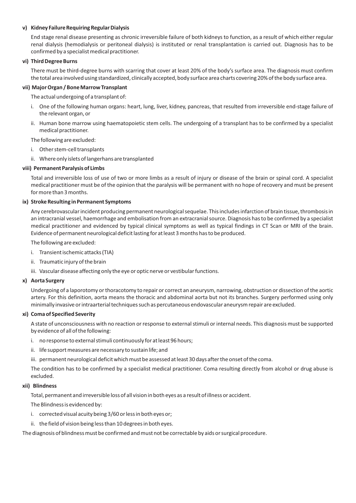#### **v) Kidney Failure Requiring Regular Dialysis**

End stage renal disease presenting as chronic irreversible failure of both kidneys to function, as a result of which either regular renal dialysis (hemodialysis or peritoneal dialysis) is instituted or renal transplantation is carried out. Diagnosis has to be confirmed by a specialist medical practitioner.

#### **vi) Third Degree Burns**

There must be third-degree burns with scarring that cover at least 20% of the body's surface area. The diagnosis must confirm the total area involved using standardized, clinically accepted, body surface area charts covering 20% of the body surface area.

#### **vii) Major Organ / Bone Marrow Transplant**

The actual undergoing of a transplant of:

- i. One of the following human organs: heart, lung, liver, kidney, pancreas, that resulted from irreversible end-stage failure of the relevant organ, or
- ii. Human bone marrow using haematopoietic stem cells. The undergoing of a transplant has to be confirmed by a specialist medical practitioner.

The following are excluded:

- i. Other stem-cell transplants
- ii. Where only islets of langerhans are transplanted

### **viii) Permanent Paralysis of Limbs**

Total and irreversible loss of use of two or more limbs as a result of injury or disease of the brain or spinal cord. A specialist medical practitioner must be of the opinion that the paralysis will be permanent with no hope of recovery and must be present for more than 3 months.

#### **ix) Stroke Resulting in Permanent Symptoms**

Any cerebrovascular incident producing permanent neurological sequelae. This includes infarction of brain tissue, thrombosis in an intracranial vessel, haemorrhage and embolisation from an extracranial source. Diagnosis has to be confirmed by a specialist medical practitioner and evidenced by typical clinical symptoms as well as typical findings in CT Scan or MRI of the brain. Evidence of permanent neurological deficit lasting for at least 3 months has to be produced.

The following are excluded:

- i. Transient ischemic attacks (TIA)
- ii. Traumatic injury of the brain
- iii. Vascular disease affecting only the eye or optic nerve or vestibular functions.

#### **x) Aorta Surgery**

Undergoing of a laporotomy or thoracotomy to repair or correct an aneurysm, narrowing, obstruction or dissection of the aortic artery. For this definition, aorta means the thoracic and abdominal aorta but not its branches. Surgery performed using only minimally invasive or intraarterial techniques such as percutaneous endovascular aneurysm repair are excluded.

#### **xi) Coma of Specified Severity**

A state of unconsciousness with no reaction or response to external stimuli or internal needs. This diagnosis must be supported by evidence of all of the following:

- i. no response to external stimuli continuously for at least 96 hours;
- ii. life support measures are necessary to sustain life; and
- iii. permanent neurological deficit which must be assessed at least 30 days after the onset of the coma.

The condition has to be confirmed by a specialist medical practitioner. Coma resulting directly from alcohol or drug abuse is excluded.

#### **xii) Blindness**

Total, permanent and irreversible loss of all vision in both eyes as a result of illness or accident.

The Blindness is evidenced by:

- i. corrected visual acuity being 3/60 or less in both eyes or;
- ii. the field of vision being less than 10 degrees in both eyes.

The diagnosis of blindness must be confirmed and must not be correctable by aids or surgical procedure.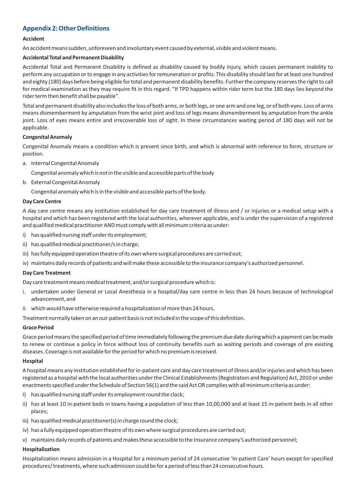# **Appendix 2: Other Definitions**

### **Accident**

An accident means sudden, unforeseen and involuntary event caused by external, visible and violent means.

# **Accidental Total and Permanent Disability**

Accidental Total and Permanent Disability is defined as disability caused by bodily injury, which causes permanent inability to perform any occupation or to engage in any activities for remuneration or profits. This disability should last for at least one hundred and eighty (180) days before being eligible for total and permanent disability benefits. Further the company reserves the right to call for medical examination as they may require fit in this regard. "If TPD happens within rider term but the 180 days lies beyond the rider term then benefit shall be payable".

Total and permanent disability also includes the loss of both arms, or both legs, or one arm and one leg, or of both eyes. Loss of arms means dismemberment by amputation from the wrist joint and loss of legs means dismemberment by amputation from the ankle joint. Loss of eyes means entire and irrecoverable loss of sight. In these circumstances waiting period of 180 days will not be applicable.

### **Congenital Anomaly**

Congenital Anomaly means a condition which is present since birth, and which is abnormal with reference to form, structure or position.

a. Internal Congenital Anomaly

Congenital anomaly which is not in the visible and accessible parts of the body

b. External Congenital Anomaly

Congenital anomaly which is in the visible and accessible parts of the body.

### **Day Care Centre**

A day care centre means any institution established for day care treatment of illness and / or injuries or a medical setup with a hospital and which has been registered with the local authorities, wherever applicable, and is under the supervision of a registered and qualified medical practitioner AND must comply with all minimum criteria as under:

- i) has qualified nursing staff under its employment;
- ii) has qualified medical practitioner/s in charge;
- iii) has fully equipped operation theatre of its own where surgical procedures are carried out;
- iv) maintains daily records of patients and will make these accessible to the insurance company's authorized personnel.

#### **Day Care Treatment**

Day care treatment means medical treatment, and/or surgical procedure which is:

- i. undertaken under General or Local Anesthesia in a hospital/day care centre in less than 24 hours because of technological advancement, and
- ii. which would have otherwise required a hospitalization of more than 24 hours.

Treatment normally taken on an out-patient basis is not included in the scope of this definition.

#### **Grace Period**

Grace period means the specified period of time immediately following the premium due date during which a payment can be made to renew or continue a policy in force without loss of continuity benefits such as waiting periods and coverage of pre existing diseases. Coverage is not available for the period for which no premium is received.

#### **Hospital**

A hospital means any institution established for in-patient care and day care treatment of illness and/or injuries and which has been registered as a hospital with the local authorities under the Clinical Establishments (Registration and Regulation) Act, 2010 or under enactments specified under the Schedule of Section 56(1) and the said Act OR complies with all minimum criteria as under:

- I) has qualified nursing staff under its employment round the clock;
- ii) has at least 10 in-patient beds in towns having a population of less than 10,00,000 and at least 15 in-patient beds in all other places;
- iii) has qualified medical practitioner(s) in charge round the clock;
- iv) has a fully equipped operation theatre of its own where surgical procedures are carried out;
- v) maintains daily records of patients and makes these accessible to the Insurance company's authorized personnel;

#### **Hospitalization**

Hospitalization means admission in a Hospital for a minimum period of 24 consecutive 'In-patient Care' hours except for specified procedures/ treatments, where such admission could be for a period of less than 24 consecutive hours.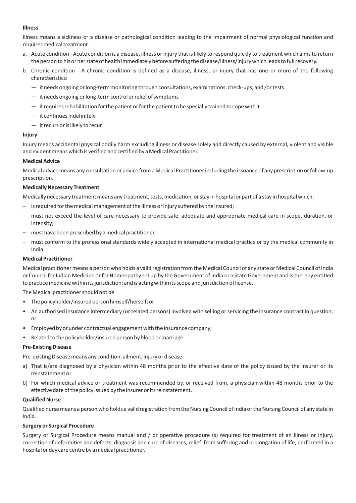#### **Illness**

Illness means a sickness or a disease or pathological condition leading to the impairment of normal physiological function and requires medical treatment.

- a. Acute condition Acute condition is a disease, illness or injury that is likely to respond quickly to treatment which aims to return the person to his or her state of health immediately before suffering the disease/illness/injury which leads to full recovery.
- b. Chronic condition A chronic condition is defined as a disease, illness, or injury that has one or more of the following characteristics:
	- it needs ongoing or long-term monitoring through consultations, examinations, check-ups, and /or tests
	- it needs ongoing or long-term control or relief of symptoms
	- it requires rehabilitation for the patient or for the patient to be specially trained to cope with it
	- it continues indefinitely
	- it recurs or is likely to recur.

#### **Injury**

Injury means accidental physical bodily harm excluding illness or disease solely and directly caused by external, violent and visible and evident means which is verified and certified by a Medical Practitioner.

#### **Medical Advice**

Medical advice means any consultation or advice from a Medical Practitioner including the issuance of any prescription or follow-up prescription.

#### **Medically Necessary Treatment**

Medically necessary treatment means any treatment, tests, medication, or stay in hospital or part of a stay in hospital which:

- is required for the medical management of the illness or injury suffered by the insured;
- must not exceed the level of care necessary to provide safe, adequate and appropriate medical care in scope, duration, or intensity;
- must have been prescribed by a medical practitioner,
- must conform to the professional standards widely accepted in international medical practice or by the medical community in India.

#### **Medical Practitioner**

Medical practitioner means a person who holds a valid registration from the Medical Council of any state or Medical Council of India or Council for Indian Medicine or for Homeopathy set up by the Government of India or a State Government and is thereby entitled to practice medicine within its jurisdiction; and is acting within its scope and jurisdiction of license.

The Medical practitioner should not be

- The policyholder/insured person himself/herself; or
- An authorised insurance intermediary (or related persons) involved with selling or servicing the insurance contract in question; or
- Employed by or under contractual engagement with the insurance company;
- Related to the policyholder/insured person by blood or marriage

#### **Pre-Existing Disease**

Pre-existing Disease means any condition, ailment, injury or disease:

- a) That is/are diagnosed by a physician within 48 months prior to the effective date of the policy issued by the insurer or its reinstatement or
- b) For which medical advice or treatment was recommended by, or received from, a physician within 48 months prior to the effective date of the policy issued by the insurer or its reinstatement.

#### **Qualified Nurse**

Qualified nurse means a person who holds a valid registration from the Nursing Council of India or the Nursing Council of any state in India.

#### **Surgery or Surgical Procedure**

Surgery or Surgical Procedure means manual and / or operative procedure (s) required for treatment of an illness or injury, correction of deformities and defects, diagnosis and cure of diseases, relief from suffering and prolongation of life, performed in a hospital or day care centre by a medical practitioner.